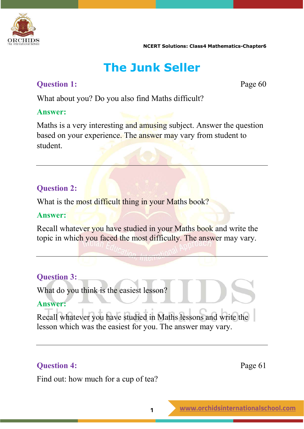

## **The Junk Seller**

### **Question 1:** Page 60

What about you? Do you also find Maths difficult?

### **Answer:**

Maths is a very interesting and amusing subject. Answer the question based on your experience. The answer may vary from student to student.

### **Question 2:**

What is the most difficult thing in your Maths book?

### **Answer:**

Recall whatever you have studied in your Maths book and write the topic in which you faced the most difficulty. The answer may vary.

### **Question 3:**

What do you think is the easiest lesson?

### **Answer:**

Recall whatever you have studied in Maths lessons and write the lesson which was the easiest for you. The answer may vary.

### **Question 4:** Page 61

Find out: how much for a cup of tea?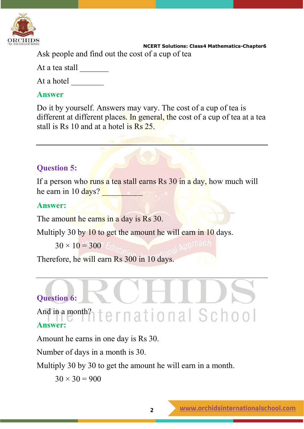

 **NCERT Solutions: Class4 Mathematics-Chapter6** Ask people and find out the cost of a cup of tea

At a tea stall

At a hotel \_\_\_\_\_\_\_\_

### **Answer**

Do it by yourself. Answers may vary. The cost of a cup of tea is different at different places. In general, the cost of a cup of tea at a tea stall is Rs 10 and at a hotel is Rs 25.

### **Question 5:**

If a person who runs a tea stall earns Rs 30 in a day, how much will he earn in  $10 \text{ days?}$ 

### **Answer:**

The amount he earns in a day is Rs 30.

Multiply 30 by 10 to get the amount he will earn in 10 days.

```
30 \times 10 = 300 For
```
Therefore, he will earn Rs 300 in 10 days.

### **Question 6:**

And in a month?  $ternational School$ **Answer:**

Amount he earns in one day is Rs 30.

Number of days in a month is 30.

Multiply 30 by 30 to get the amount he will earn in a month.

 $30 \times 30 = 900$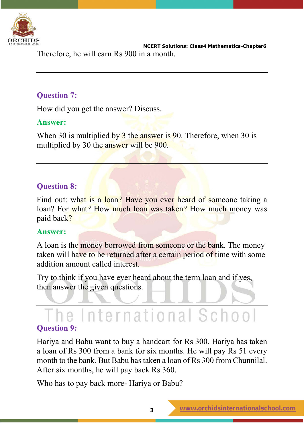

 **NCERT Solutions: Class4 Mathematics-Chapter6** Therefore, he will earn Rs 900 in a month.

### **Question 7:**

How did you get the answer? Discuss.

### **Answer:**

When 30 is multiplied by 3 the answer is 90. Therefore, when 30 is multiplied by 30 the answer will be 900.

### **Question 8:**

Find out: what is a loan? Have you ever heard of someone taking a loan? For what? How much loan was taken? How much money was paid back?

### **Answer:**

A loan is the money borrowed from someone or the bank. The money taken will have to be returned after a certain period of time with some addition amount called interest.

Try to think if you have ever heard about the term loan and if yes, then answer the given questions.

## The International School

### **Question 9:**

Hariya and Babu want to buy a handcart for Rs 300. Hariya has taken a loan of Rs 300 from a bank for six months. He will pay Rs 51 every month to the bank. But Babu has taken a loan of Rs 300 from Chunnilal. After six months, he will pay back Rs 360.

Who has to pay back more- Hariya or Babu?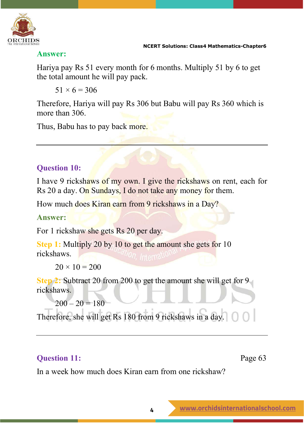

### **Answer:**

Hariya pay Rs 51 every month for 6 months. Multiply 51 by 6 to get the total amount he will pay pack.

 $51 \times 6 = 306$ 

Therefore, Hariya will pay Rs 306 but Babu will pay Rs 360 which is more than 306.

Thus, Babu has to pay back more.

### **Question 10:**

I have 9 rickshaws of my own. I give the rickshaws on rent, each for Rs 20 a day. On Sundays, I do not take any money for them.

How much does Kiran earn from 9 rickshaws in a Day?

### **Answer:**

For 1 rickshaw she gets Rs 20 per day.

**Step 1:** Multiply 20 by 10 to get the amount she gets for 10 rickshaws.

 $20 \times 10 = 200$ 

**Step 2:** Subtract 20 from 200 to get the amount she will get for 9 rickshaws.

 $200 - 20 = 180$ 

Therefore, she will get Rs 180 from 9 rickshaws in a day.

### **Question 11:** Page 63

In a week how much does Kiran earn from one rickshaw?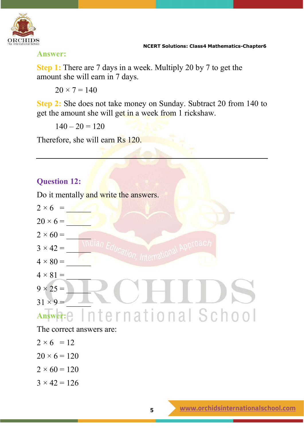

**Answer:**

**Step 1:** There are 7 days in a week. Multiply 20 by 7 to get the amount she will earn in 7 days.

 $20 \times 7 = 140$ 

**Step 2:** She does not take money on Sunday. Subtract 20 from 140 to get the amount she will get in a week from 1 rickshaw.

 $140 - 20 = 120$ 

Therefore, she will earn Rs 120.

### **Question 12:**

Do it mentally and write the answers.



- $2 \times 6 = 12$
- $20 \times 6 = 120$
- $2 \times 60 = 120$
- $3 \times 42 = 126$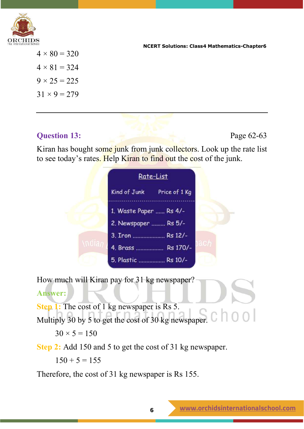

 $4 \times 80 = 320$  $4 \times 81 = 324$  $9 \times 25 = 225$  $31 \times 9 = 279$ 

### **Question 13:** Page 62-63

Kiran has bought some junk from junk collectors. Look up the rate list to see today's rates. Help Kiran to find out the cost of the junk.

|        | <u>Rate-List</u>                      |  |
|--------|---------------------------------------|--|
|        | Price of 1 Kg<br>Kind of Junk         |  |
|        | ***********<br>1. Waste Paper  Rs 4/- |  |
|        | 2. Newspaper  Rs 5/-                  |  |
|        | 3. Iron  Rs 12/-                      |  |
| Indian | 4. Brass  Rs 170/-                    |  |
|        | 5. Plastic  Rs 10/-                   |  |

How much will Kiran pay for 31 kg newspaper?

### **Answer:**

**Step 1:** The cost of 1 kg newspaper is Rs 5.

Multiply 30 by 5 to get the cost of 30 kg newspaper. C 100

 $30 \times 5 = 150$ 

**Step 2:** Add 150 and 5 to get the cost of 31 kg newspaper.

 $150 + 5 = 155$ 

Therefore, the cost of 31 kg newspaper is Rs 155.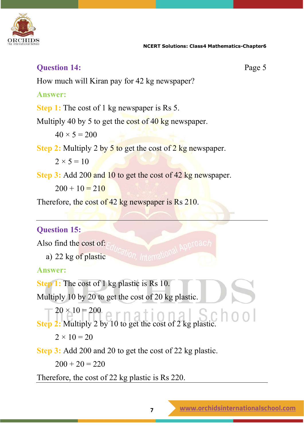

### **Question 14:** Page 5 How much will Kiran pay for 42 kg newspaper? **Answer: Step 1:** The cost of 1 kg newspaper is Rs 5. Multiply 40 by 5 to get the cost of 40 kg newspaper.  $40 \times 5 = 200$ **Step 2:** Multiply 2 by 5 to get the cost of 2 kg newspaper.  $2 \times 5 = 10$ **Step 3:** Add 200 and 10 to get the cost of 42 kg newspaper.  $200 + 10 = 210$ Therefore, the cost of 42 kg newspaper is Rs 210.

### **Question 15:**

Also find the cost of:

a) 22 kg of plastic

ternational Approac

### **Answer:**

**Step 1:** The cost of 1 kg plastic is Rs 10.

Multiply 10 by 20 to get the cost of 20 kg plastic.

 $20 \times 10 = 200$ **Step 2:** Multiply 2 by 10 to get the cost of 2 kg plastic.

 $2 \times 10 = 20$ 

**Step 3:** Add 200 and 20 to get the cost of 22 kg plastic.

 $200 + 20 = 220$ 

Therefore, the cost of 22 kg plastic is Rs 220.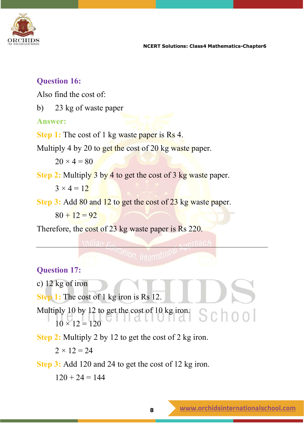

### **Question 16:**

Also find the cost of:

b) 23 kg of waste paper

### **Answer:**

**Step 1:** The cost of 1 kg waste paper is Rs 4.

Multiply 4 by 20 to get the cost of 20 kg waste paper.

 $20 \times 4 = 80$ 

**Step 2:** Multiply 3 by 4 to get the cost of 3 kg waste paper.

 $3 \times 4 = 12$ 

**Step 3:** Add 80 and 12 to get the cost of 23 kg waste paper.

 $80 + 12 = 92$ 

Therefore, the cost of 23 kg waste paper is Rs 220.

### **Question 17:**

c) 12 kg of iron

**Step 1:** The cost of 1 kg iron is Rs 12.

Multiply 10 by 12 to get the cost of 10 kg iron. School  $10 \times 12 = 120$ 

**Step 2:** Multiply 2 by 12 to get the cost of 2 kg iron.

 $2 \times 12 = 24$ 

**Step 3:** Add 120 and 24 to get the cost of 12 kg iron.

 $120 + 24 = 144$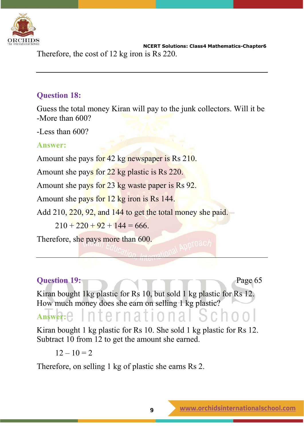

 **NCERT Solutions: Class4 Mathematics-Chapter6** Therefore, the cost of 12 kg iron is Rs 220.

### **Question 18:**

Guess the total money Kiran will pay to the junk collectors. Will it be -More than 600?

-Less than 600?

### **Answer:**

Amount she pays for 42 kg newspaper is Rs 210.

Amount she pays for 22 kg plastic is Rs 220.

Amount she pays for 23 kg waste paper is Rs 92.

Amount she pays for 12 kg iron is Rs 144.

Add 210, 220, 92, and 144 to get the total money she paid.

 $210 + 220 + 92 + 144 = 666$ .

Therefore, she pays more than 600.

### **Question 19:** Page 65

Kiran bought 1kg plastic for Rs 10, but sold 1 kg plastic for Rs 12. How much money does she earn on selling 1 kg plastic?

### Answer: e International

Kiran bought 1 kg plastic for Rs 10. She sold 1 kg plastic for Rs 12. Subtract 10 from 12 to get the amount she earned.

 $12 - 10 = 2$ 

Therefore, on selling 1 kg of plastic she earns Rs 2.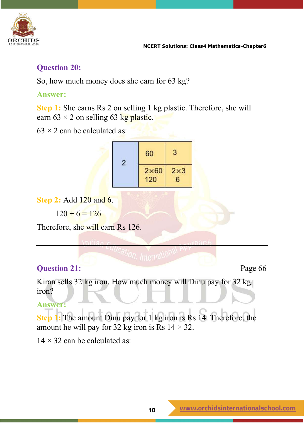

### **Question 20:**

So, how much money does she earn for 63 kg?

### **Answer:**

**Step 1:** She earns Rs 2 on selling 1 kg plastic. Therefore, she will earn  $63 \times 2$  on selling 63 kg plastic.

 $63 \times 2$  can be calculated as:

| 60                  | 3               |
|---------------------|-----------------|
| $2\times 60$<br>120 | $2\times3$<br>6 |

**Step 2:** Add 120 and 6.

 $120 + 6 = 126$ 

Therefore, she will earn Rs 126.

### **Question 21:** Page 66

Kiran sells 32 kg iron. How much money will Dinu pay for 32 kg iron?

### **Answer:**

**Step 1:** The amount Dinu pay for 1 kg iron is Rs 14. Therefore, the amount he will pay for 32 kg iron is Rs  $14 \times 32$ .

 $14 \times 32$  can be calculated as: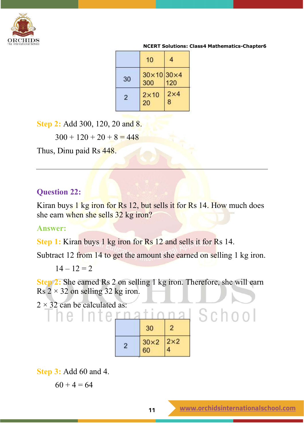

|                | 10                       |                 |
|----------------|--------------------------|-----------------|
| 30             | $30\times10$ 30×4<br>300 | 120             |
| $\overline{2}$ | $2\times 10$<br>20       | $2\times4$<br>8 |

**Step 2:** Add 300, 120, 20 and 8.

 $300 + 120 + 20 + 8 = 448$ 

Thus, Dinu paid Rs 448.

### **Question 22:**

Kiran buys 1 kg iron for Rs 12, but sells it for Rs 14. How much does she earn when she sells 32 kg iron?

### **Answer:**

**Step 1:** Kiran buys 1 kg iron for Rs 12 and sells it for Rs 14.

Subtract 12 from 14 to get the amount she earned on selling 1 kg iron.

 $14 - 12 = 2$ 

**Step 2:** She earned Rs 2 on selling 1 kg iron. Therefore, she will earn Rs  $2 \times 32$  on selling 32 kg iron.

 $2 \times 32$  can be calculated as:

he Inte

| 30                                               | 2          |
|--------------------------------------------------|------------|
| $\begin{array}{c} 30 \times 2 \\ 60 \end{array}$ | $2\times2$ |

**Step 3:** Add 60 and 4.

 $60 + 4 = 64$ 

School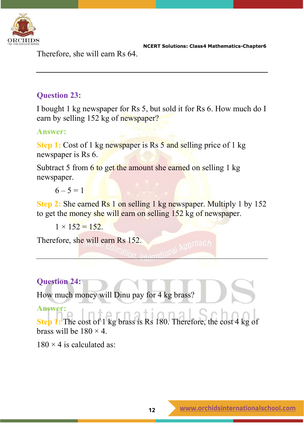

Therefore, she will earn Rs 64.

### **Question 23:**

I bought 1 kg newspaper for Rs 5, but sold it for Rs 6. How much do I earn by selling 152 kg of newspaper?

### **Answer:**

**Step 1:** Cost of 1 kg newspaper is Rs 5 and selling price of 1 kg newspaper is Rs 6.

Subtract 5 from 6 to get the amount she earned on selling 1 kg newspaper.

 $6 - 5 = 1$ 

**Step 2:** She earned Rs 1 on selling 1 kg newspaper. Multiply 1 by 152 to get the money she will earn on selling 152 kg of newspaper.

 $1 \times 152 = 152$ .

Therefore, she will earn Rs 152.

### **Question 24:**

How much money will Dinu pay for 4 kg brass?

### **Answer:**

**Step 1:** The cost of 1 kg brass is Rs 180. Therefore, the cost 4 kg of brass will be  $180 \times 4$ .

 $180 \times 4$  is calculated as: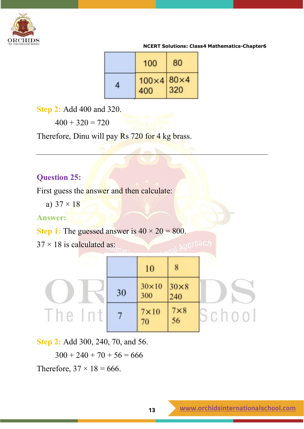

| 100                      | 80  |
|--------------------------|-----|
| $100\times4$ 80×4<br>400 | 320 |

**Step 2:** Add 400 and 320.

 $400 + 320 = 720$ 

Therefore, Dinu will pay Rs 720 for 4 kg brass.

### **Question 25:**

First guess the **answer** and then calculate:

a)  $37 \times 18$ 

### **Answer:**

**Step 1:** The guessed answer is  $40 \times 20 = 800$ .

 $37 \times 18$  is calculated as:

|        |    | 10                               |                    |        |
|--------|----|----------------------------------|--------------------|--------|
|        | 30 | $30\times10$ 30 $\times8$<br>300 | 240                |        |
| Ine In |    | $7 \times 10$<br>70              | $7 \times 8$<br>56 | School |

**Step 2:** Add 300, 240, 70, and 56.

 $300 + 240 + 70 + 56 = 666$ 

Therefore,  $37 \times 18 = 666$ .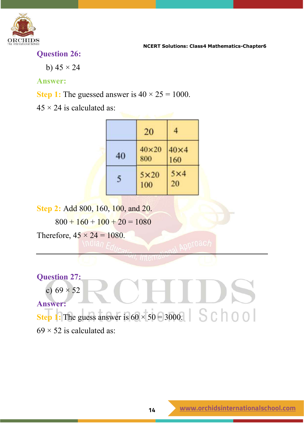

**Question 26:**

b)  $45 \times 24$ 

### **Answer:**

**Step 1:** The guessed answer is  $40 \times 25 = 1000$ .

 $45 \times 24$  is calculated as:

|    | 20                  |                    |
|----|---------------------|--------------------|
| 40 | $40\times20$<br>800 | $40\times4$<br>160 |
| 5  | $5\times20$<br>100  | $5\times4$<br>20   |

**Step 2:** Add 800, 160, 100, and 20.

 $800 + 160 + 100 + 20 = 1080$ 

Therefore,  $45 \times 24 = 1080$ .

### **Question 27:**

c)  $69 \times 52$ 

**Answer:**

**Step 1:** The guess answer is  $60 \times 50 = 3000$ .  $\begin{bmatrix} 1 & 1 \\ 0 & 0 \end{bmatrix}$ 

 $69 \times 52$  is calculated as: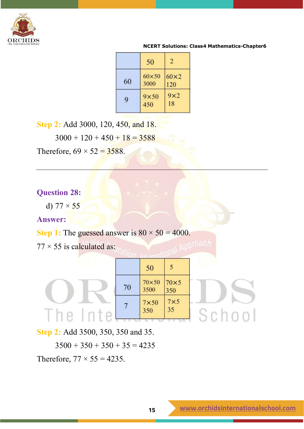

|    | 50                 | $\overline{\mathbf{2}}$ |
|----|--------------------|-------------------------|
| 60 | 60×50<br>3000      | $60\times2$<br>120      |
| 9  | $9\times50$<br>450 | $9\times2$<br>18        |

**Step 2:** Add 3000, 120, 450, and 18.

 $3000 + 120 + 450 + 18 = 3588$ 

Therefore,  $69 \times 52 = 3588$ .

### **Question 28:**

d)  $77 \times 55$ 

### **Answer:**

**Step 1:** The guessed answer is  $80 \times 50 = 4000$ .

 $77 \times 55$  is calculated as:

|    | 50                      |                    |  |
|----|-------------------------|--------------------|--|
| 70 | $70\times50$<br>3500    | $70\times5$<br>350 |  |
|    | $\frac{7\times50}{350}$ | $7\times 5$<br>35  |  |
|    |                         |                    |  |

**Step 2:** Add 3500, 350, 350 and 35.

 $3500 + 350 + 350 + 35 = 4235$ Therefore,  $77 \times 55 = 4235$ .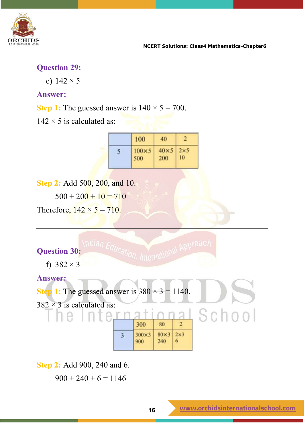

### **Question 29:**

e)  $142 \times 5$ 

### **Answer:**

**Step 1:** The guessed answer is  $140 \times 5 = 700$ .

 $142 \times 5$  is calculated as:

| 100           | 40          |             |
|---------------|-------------|-------------|
| $100\times 5$ | $40\times5$ | $2\times 5$ |
| 500           | 200         | 10          |

**Step 2:** Add 500, 200, and 10.

 $500 + 200 + 10 = 710$ 

Therefore,  $142 \times 5 = 710$ .

### **Question 30:**

f)  $382 \times 3$ 

**Answer:**



**Step 2:** Add 900, 240 and 6.

 $900 + 240 + 6 = 1146$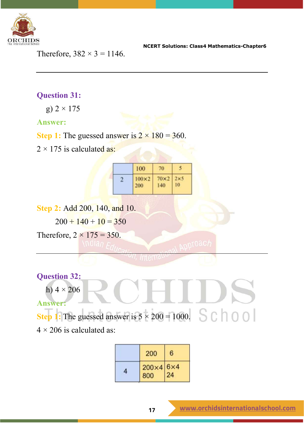

Therefore,  $382 \times 3 = 1146$ .

### **Question 31:**

g) 2 × 175

### **Answer:**

**Step 1:** The guessed answer is  $2 \times 180 = 360$ .

 $2 \times 175$  is calculated as:

| 100                 | 70                 |    |
|---------------------|--------------------|----|
| $100\times2$<br>200 | $70\times2$<br>140 | 10 |

**Step 2:** Add 200, 140, and 10.

 $200 + 140 + 10 = 350$ 

Therefore,  $2 \times 175 = 350$ .

### **Question 32:**

h)  $4 \times 206$ 

**Answer:**

**Step 1:** The guessed answer is  $5 \times 200 = 1000$ . <br>S C  $\bigcap$  0 0

 $4 \times 206$  is calculated as:

| 200                         | 6 |
|-----------------------------|---|
| $200\times46\times4$<br>800 |   |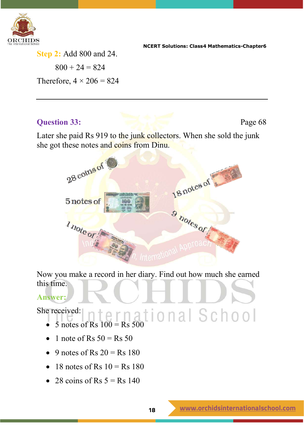

**Step 2:** Add 800 and 24.  $800 + 24 = 824$ Therefore,  $4 \times 206 = 824$ 

**Question 33:** Page 68

Later she paid Rs 919 to the junk collectors. When she sold the junk she got these notes and coins from Dinu.



Now you make a record in her diary. Find out how much she earned this time.

### **Answer:**

She received:

- $\bullet$  5 notes of Rs 100 = Rs 500  $\vert$  O n a  $\vert$  S c h o o  $\vert$
- 1 note of Rs  $50 = Rs$   $50$
- 9 notes of Rs  $20 =$  Rs  $180$
- 18 notes of Rs  $10 = \text{Rs } 180$
- 28 coins of Rs  $5 =$  Rs 140